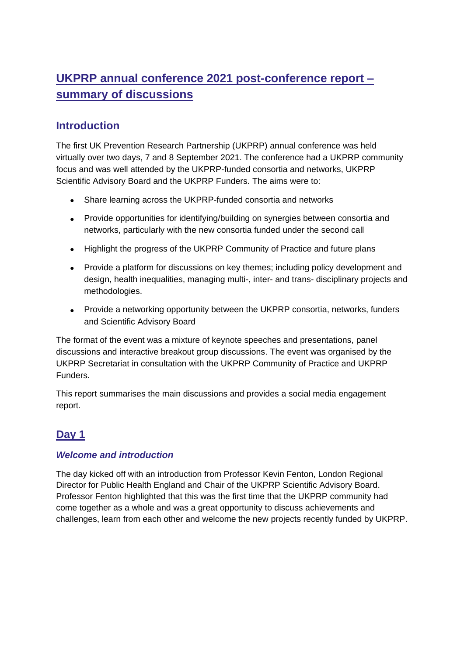# **UKPRP annual conference 2021 post-conference report – summary of discussions**

## **Introduction**

The first UK Prevention Research Partnership (UKPRP) annual conference was held virtually over two days, 7 and 8 September 2021. The conference had a UKPRP community focus and was well attended by the UKPRP-funded consortia and networks, UKPRP Scientific Advisory Board and the UKPRP Funders. The aims were to:

- Share learning across the UKPRP-funded consortia and networks
- Provide opportunities for identifying/building on synergies between consortia and networks, particularly with the new consortia funded under the second call
- Highlight the progress of the UKPRP Community of Practice and future plans
- Provide a platform for discussions on key themes; including policy development and design, health inequalities, managing multi-, inter- and trans- disciplinary projects and methodologies.
- Provide a networking opportunity between the UKPRP consortia, networks, funders and Scientific Advisory Board

The format of the event was a mixture of keynote speeches and presentations, panel discussions and interactive breakout group discussions. The event was organised by the UKPRP Secretariat in consultation with the UKPRP Community of Practice and UKPRP Funders.

This report summarises the main discussions and provides a social media engagement report.

## **Day 1**

## *Welcome and introduction*

The day kicked off with an introduction from Professor Kevin Fenton, London Regional Director for Public Health England and Chair of the UKPRP Scientific Advisory Board. Professor Fenton highlighted that this was the first time that the UKPRP community had come together as a whole and was a great opportunity to discuss achievements and challenges, learn from each other and welcome the new projects recently funded by UKPRP.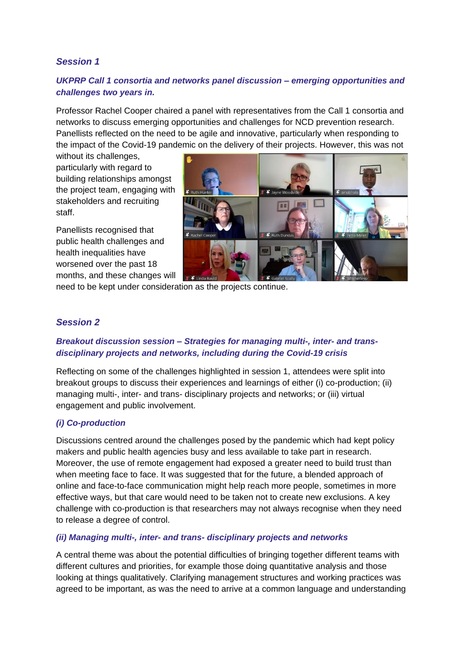## *Session 1*

## *UKPRP Call 1 consortia and networks panel discussion – emerging opportunities and challenges two years in.*

Professor Rachel Cooper chaired a panel with representatives from the Call 1 consortia and networks to discuss emerging opportunities and challenges for NCD prevention research. Panellists reflected on the need to be agile and innovative, particularly when responding to the impact of the Covid-19 pandemic on the delivery of their projects. However, this was not

without its challenges, particularly with regard to building relationships amongst the project team, engaging with stakeholders and recruiting staff.

Panellists recognised that public health challenges and health inequalities have worsened over the past 18 months, and these changes will



need to be kept under consideration as the projects continue.

## *Session 2*

#### *Breakout discussion session – Strategies for managing multi-, inter- and transdisciplinary projects and networks, including during the Covid-19 crisis*

Reflecting on some of the challenges highlighted in session 1, attendees were split into breakout groups to discuss their experiences and learnings of either (i) co-production; (ii) managing multi-, inter- and trans- disciplinary projects and networks; or (iii) virtual engagement and public involvement.

#### *(i) Co-production*

Discussions centred around the challenges posed by the pandemic which had kept policy makers and public health agencies busy and less available to take part in research. Moreover, the use of remote engagement had exposed a greater need to build trust than when meeting face to face. It was suggested that for the future, a blended approach of online and face-to-face communication might help reach more people, sometimes in more effective ways, but that care would need to be taken not to create new exclusions. A key challenge with co-production is that researchers may not always recognise when they need to release a degree of control.

#### *(ii) Managing multi-, inter- and trans- disciplinary projects and networks*

A central theme was about the potential difficulties of bringing together different teams with different cultures and priorities, for example those doing quantitative analysis and those looking at things qualitatively. Clarifying management structures and working practices was agreed to be important, as was the need to arrive at a common language and understanding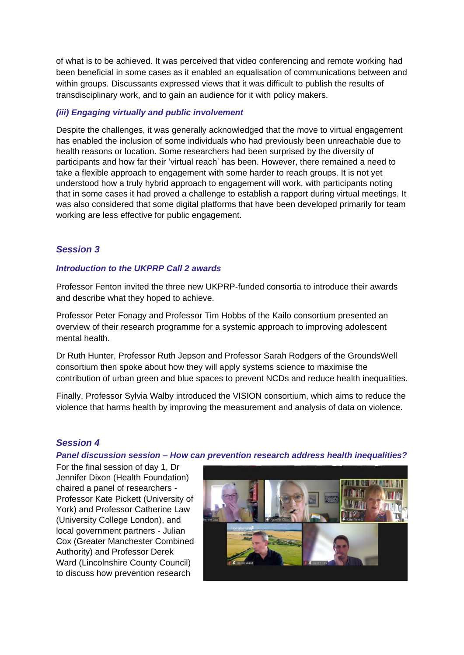of what is to be achieved. It was perceived that video conferencing and remote working had been beneficial in some cases as it enabled an equalisation of communications between and within groups. Discussants expressed views that it was difficult to publish the results of transdisciplinary work, and to gain an audience for it with policy makers.

#### *(iii) Engaging virtually and public involvement*

Despite the challenges, it was generally acknowledged that the move to virtual engagement has enabled the inclusion of some individuals who had previously been unreachable due to health reasons or location. Some researchers had been surprised by the diversity of participants and how far their 'virtual reach' has been. However, there remained a need to take a flexible approach to engagement with some harder to reach groups. It is not yet understood how a truly hybrid approach to engagement will work, with participants noting that in some cases it had proved a challenge to establish a rapport during virtual meetings. It was also considered that some digital platforms that have been developed primarily for team working are less effective for public engagement.

#### *Session 3*

#### *Introduction to the UKPRP Call 2 awards*

Professor Fenton invited the three new UKPRP-funded consortia to introduce their awards and describe what they hoped to achieve.

Professor Peter Fonagy and Professor Tim Hobbs of the Kailo consortium presented an overview of their research programme for a systemic approach to improving adolescent mental health.

Dr Ruth Hunter, Professor Ruth Jepson and Professor Sarah Rodgers of the GroundsWell consortium then spoke about how they will apply systems science to maximise the contribution of urban green and blue spaces to prevent NCDs and reduce health inequalities.

Finally, Professor Sylvia Walby introduced the VISION consortium, which aims to reduce the violence that harms health by improving the measurement and analysis of data on violence.

#### *Session 4*

*Panel discussion session – How can prevention research address health inequalities?*

For the final session of day 1, Dr Jennifer Dixon (Health Foundation) chaired a panel of researchers - Professor Kate Pickett (University of York) and Professor Catherine Law (University College London), and local government partners - Julian Cox (Greater Manchester Combined Authority) and Professor Derek Ward (Lincolnshire County Council) to discuss how prevention research

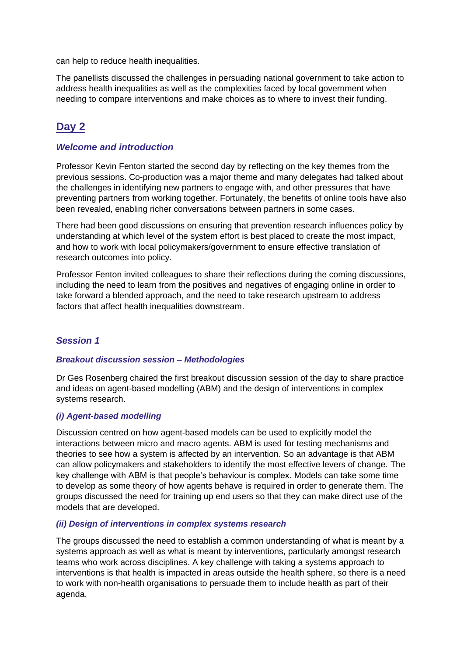can help to reduce health inequalities.

The panellists discussed the challenges in persuading national government to take action to address health inequalities as well as the complexities faced by local government when needing to compare interventions and make choices as to where to invest their funding.

## **Day 2**

### *Welcome and introduction*

Professor Kevin Fenton started the second day by reflecting on the key themes from the previous sessions. Co-production was a major theme and many delegates had talked about the challenges in identifying new partners to engage with, and other pressures that have preventing partners from working together. Fortunately, the benefits of online tools have also been revealed, enabling richer conversations between partners in some cases.

There had been good discussions on ensuring that prevention research influences policy by understanding at which level of the system effort is best placed to create the most impact, and how to work with local policymakers/government to ensure effective translation of research outcomes into policy.

Professor Fenton invited colleagues to share their reflections during the coming discussions, including the need to learn from the positives and negatives of engaging online in order to take forward a blended approach, and the need to take research upstream to address factors that affect health inequalities downstream.

### *Session 1*

#### *Breakout discussion session – Methodologies*

Dr Ges Rosenberg chaired the first breakout discussion session of the day to share practice and ideas on agent-based modelling (ABM) and the design of interventions in complex systems research.

#### *(i) Agent-based modelling*

Discussion centred on how agent-based models can be used to explicitly model the interactions between micro and macro agents. ABM is used for testing mechanisms and theories to see how a system is affected by an intervention. So an advantage is that ABM can allow policymakers and stakeholders to identify the most effective levers of change. The key challenge with ABM is that people's behaviour is complex. Models can take some time to develop as some theory of how agents behave is required in order to generate them. The groups discussed the need for training up end users so that they can make direct use of the models that are developed.

#### *(ii) Design of interventions in complex systems research*

The groups discussed the need to establish a common understanding of what is meant by a systems approach as well as what is meant by interventions, particularly amongst research teams who work across disciplines. A key challenge with taking a systems approach to interventions is that health is impacted in areas outside the health sphere, so there is a need to work with non-health organisations to persuade them to include health as part of their agenda.